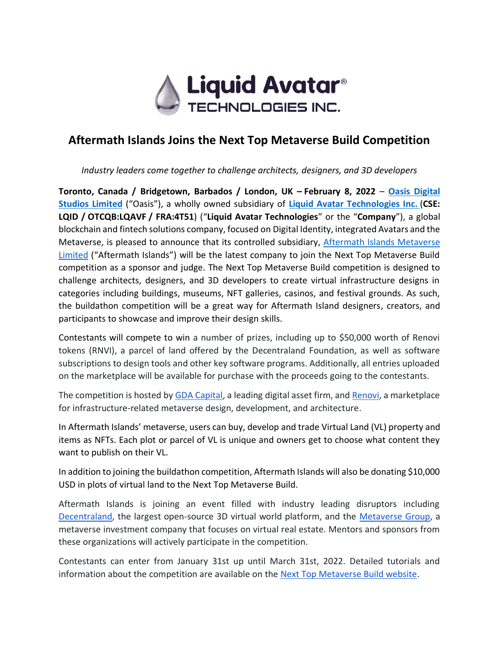

# **Aftermath Islands Joins the Next Top Metaverse Build Competition**

*Industry leaders come together to challenge architects, designers, and 3D developers*

**Toronto, Canada / Bridgetown, Barbados / London, UK – February 8, 2022** – **[Oasis Digital](https://oasisdigitalstudios.com/)  Studios [Limited](https://oasisdigitalstudios.com/)** ("Oasis"), a wholly owned subsidiary of **[Liquid Avatar Technologies Inc.](https://liquidavatartechnologies.com/)** (**CSE: LQID / OTCQB:LQAVF / FRA:4T51**) ("**Liquid Avatar Technologies**" or the "**Company**"), a global blockchain and fintech solutions company, focused on Digital Identity, integrated Avatars and the Metaverse, is pleased to announce that its controlled subsidiary, [Aftermath Islands Metaverse](http://www.aftermathislands.com/)  [Limited](http://www.aftermathislands.com/) ("Aftermath Islands") will be the latest company to join the Next Top Metaverse Build competition as a sponsor and judge. The Next Top Metaverse Build competition is designed to challenge architects, designers, and 3D developers to create virtual infrastructure designs in categories including buildings, museums, NFT galleries, casinos, and festival grounds. As such, the buildathon competition will be a great way for Aftermath Island designers, creators, and participants to showcase and improve their design skills.

Contestants will compete to win a number of prizes, including up to \$50,000 worth of Renovi tokens (RNVI), a parcel of land offered by the Decentraland Foundation, as well as software subscriptions to design tools and other key software programs. Additionally, all entries uploaded on the marketplace will be available for purchase with the proceeds going to the contestants.

The competition is hosted by [GDA Capital,](https://gda.capital/) a leading digital asset firm, and [Renovi,](https://renovi.io/) a marketplace for infrastructure-related metaverse design, development, and architecture.

In Aftermath Islands' metaverse, users can buy, develop and trade Virtual Land (VL) property and items as NFTs. Each plot or parcel of VL is unique and owners get to choose what content they want to publish on their VL.

In addition to joining the buildathon competition, Aftermath Islands will also be donating \$10,000 USD in plots of virtual land to the Next Top Metaverse Build.

Aftermath Islands is joining an event filled with industry leading disruptors including [Decentraland,](https://decentraland.org/) the largest open-source 3D virtual world platform, and the [Metaverse Group,](https://metaversegroup.com/) a metaverse investment company that focuses on virtual real estate. Mentors and sponsors from these organizations will actively participate in the competition.

Contestants can enter from January 31st up until March 31st, 2022. Detailed tutorials and information about the competition are available on the [Next Top Metaverse Build website.](https://topmetaversebuild.com/)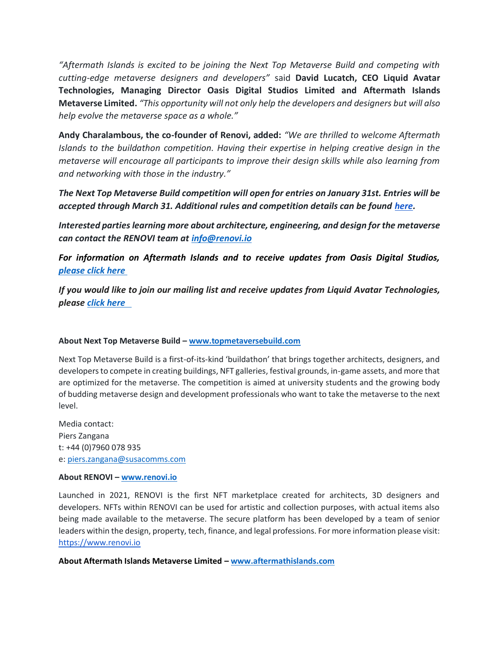*"Aftermath Islands is excited to be joining the Next Top Metaverse Build and competing with cutting-edge metaverse designers and developers"* said **David Lucatch, CEO Liquid Avatar Technologies, Managing Director Oasis Digital Studios Limited and Aftermath Islands Metaverse Limited.** *"This opportunity will not only help the developers and designers but will also help evolve the metaverse space as a whole."* 

**Andy Charalambous, the co-founder of Renovi, added:** *"We are thrilled to welcome Aftermath Islands to the buildathon competition. Having their expertise in helping creative design in the metaverse will encourage all participants to improve their design skills while also learning from and networking with those in the industry."*

*The Next Top Metaverse Build competition will open for entries on January 31st. Entries will be accepted through March 31. Additional rules and competition details can be found [here.](https://topmetaversebuild.com/)* 

*Interested parties learning more about architecture, engineering, and design for the metaverse can contact the RENOVI team at [info@renovi.io](mailto:info@renovi.io)*

*For information on Aftermath Islands and to receive updates from Oasis Digital Studios, please [click here](https://share.hsforms.com/1bSgqjoO8SjmF58FU9WhPyA4rqa5)*

*If you would like to join our mailing list and receive updates from Liquid Avatar Technologies, please [click here](https://hello.liquidavatar.com/liquid-avatar-updates)* 

## **About Next Top Metaverse Build – [www.topmetaversebuild.com](http://www.topmetaversebuild.com/)**

Next Top Metaverse Build is a first-of-its-kind 'buildathon' that brings together architects, designers, and developers to compete in creating buildings, NFT galleries, festival grounds, in-game assets, and more that are optimized for the metaverse. The competition is aimed at university students and the growing body of budding metaverse design and development professionals who want to take the metaverse to the next level.

Media contact: Piers Zangana t: +44 (0)7960 078 935 e: [piers.zangana@susacomms.com](mailto:piers.zangana@susacomms.com)

### **About RENOVI – [www.renovi.io](http://www.renovi.io/)**

Launched in 2021, RENOVI is the first NFT marketplace created for architects, 3D designers and developers. NFTs within RENOVI can be used for artistic and collection purposes, with actual items also being made available to the metaverse. The secure platform has been developed by a team of senior leaders within the design, property, tech, finance, and legal professions. For more information please visit: [https://www.renovi.io](https://www.renovi.io/)

**About Aftermath Islands Metaverse Limited – [www.aftermathislands.com](https://aftermathislands.com/)**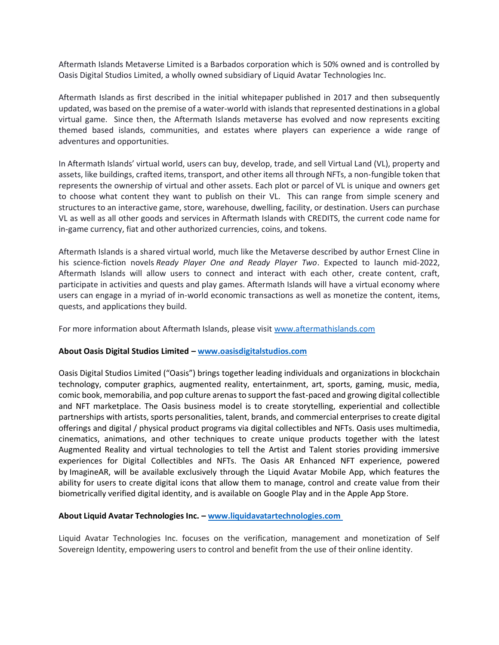Aftermath Islands Metaverse Limited is a Barbados corporation which is 50% owned and is controlled by Oasis Digital Studios Limited, a wholly owned subsidiary of Liquid Avatar Technologies Inc.

Aftermath Islands as first described in the initial whitepaper published in 2017 and then subsequently updated, was based on the premise of a water-world with islands that represented destinations in a global virtual game. Since then, the Aftermath Islands metaverse has evolved and now represents exciting themed based islands, communities, and estates where players can experience a wide range of adventures and opportunities.

In Aftermath Islands' virtual world, users can buy, develop, trade, and sell Virtual Land (VL), property and assets, like buildings, crafted items, transport, and other items all through NFTs, a non-fungible token that represents the ownership of virtual and other assets. Each plot or parcel of VL is unique and owners get to choose what content they want to publish on their VL. This can range from simple scenery and structures to an interactive game, store, warehouse, dwelling, facility, or destination. Users can purchase VL as well as all other goods and services in Aftermath Islands with CREDITS, the current code name for in-game currency, fiat and other authorized currencies, coins, and tokens.

Aftermath Islands is a shared virtual world, much like the Metaverse described by author Ernest Cline in his science-fiction novels *Ready Player One and Ready Player Two*. Expected to launch mid-2022, Aftermath Islands will allow users to connect and interact with each other, create content, craft, participate in activities and quests and play games. Aftermath Islands will have a virtual economy where users can engage in a myriad of in-world economic transactions as well as monetize the content, items, quests, and applications they build.

For more information about Aftermath Islands, please visit [www.aftermathislands.com](https://aftermathislands.com/)

### **About Oasis Digital Studios Limited – [www.oasisdigitalstudios.com](https://oasisdigitalstudios.com/)**

Oasis Digital Studios Limited ("Oasis") brings together leading individuals and organizations in blockchain technology, computer graphics, augmented reality, entertainment, art, sports, gaming, music, media, comic book, memorabilia, and pop culture arenas to support the fast-paced and growing digital collectible and NFT marketplace. The Oasis business model is to create storytelling, experiential and collectible partnerships with artists, sports personalities, talent, brands, and commercial enterprises to create digital offerings and digital / physical product programs via digital collectibles and NFTs. Oasis uses multimedia, cinematics, animations, and other techniques to create unique products together with the latest Augmented Reality and virtual technologies to tell the Artist and Talent stories providing immersive experiences for Digital Collectibles and NFTs. The Oasis AR Enhanced NFT experience, powered by ImagineAR, will be available exclusively through the Liquid Avatar Mobile App, which features the ability for users to create digital icons that allow them to manage, control and create value from their biometrically verified digital identity, and is available on Google Play and in the Apple App Store.

#### **About Liquid Avatar Technologies Inc. – [www.liquidavatartechnologies.com](https://liquidavatartechnologies.com/)**

Liquid Avatar Technologies Inc. focuses on the verification, management and monetization of Self Sovereign Identity, empowering users to control and benefit from the use of their online identity.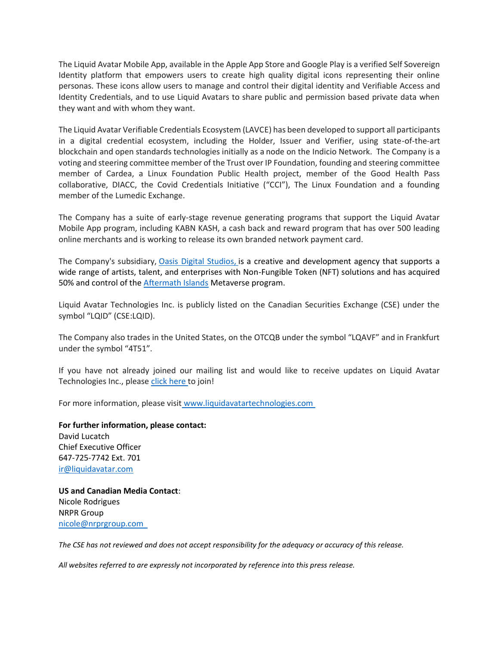The Liquid Avatar Mobile App, available in the Apple App Store and Google Play is a verified Self Sovereign Identity platform that empowers users to create high quality digital icons representing their online personas. These icons allow users to manage and control their digital identity and Verifiable Access and Identity Credentials, and to use Liquid Avatars to share public and permission based private data when they want and with whom they want.

The Liquid Avatar Verifiable Credentials Ecosystem (LAVCE) has been developed to support all participants in a digital credential ecosystem, including the Holder, Issuer and Verifier, using state-of-the-art blockchain and open standards technologies initially as a node on the Indicio Network. The Company is a voting and steering committee member of the Trust over IP Foundation, founding and steering committee member of Cardea, a Linux Foundation Public Health project, member of the Good Health Pass collaborative, DIACC, the Covid Credentials Initiative ("CCI"), The Linux Foundation and a founding member of the Lumedic Exchange.

The Company has a suite of early-stage revenue generating programs that support the Liquid Avatar Mobile App program, including KABN KASH, a cash back and reward program that has over 500 leading online merchants and is working to release its own branded network payment card.

The Company's subsidiary, [Oasis Digital Studios,](https://oasisdigitalstudios.com/) is a creative and development agency that supports a wide range of artists, talent, and enterprises with Non-Fungible Token (NFT) solutions and has acquired 50% and control of the [Aftermath Islands](http://www.aftermathislands.com/) Metaverse program.

Liquid Avatar Technologies Inc. is publicly listed on the Canadian Securities Exchange (CSE) under the symbol "LQID" (CSE:LQID).

The Company also trades in the United States, on the OTCQB under the symbol "LQAVF" and in Frankfurt under the symbol "4T51".

If you have not already joined our mailing list and would like to receive updates on Liquid Avatar Technologies Inc., please [click here](https://hello.liquidavatar.com/liquid-avatar-updates) to join!

For more information, please visit [www.liquidavatartechnologies.com](https://liquidavatartechnologies.com/)

**For further information, please contact:** David Lucatch Chief Executive Officer 647-725-7742 Ext. 701 [ir@liquidavatar.com](mailto:ir@liquidavatar.com)

**US and Canadian Media Contact**: Nicole Rodrigues NRPR Group [nicole@nrprgroup.com](mailto:nicole@nrprgroup.com) 

*The CSE has not reviewed and does not accept responsibility for the adequacy or accuracy of this release.*

*All websites referred to are expressly not incorporated by reference into this press release.*